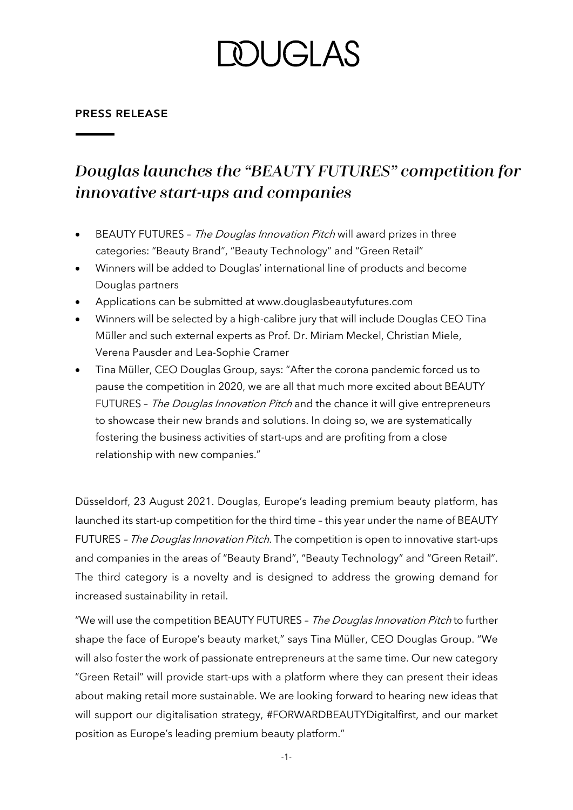## DUGLAS

### **PRESS RELEASE**

### Douglas launches the "BEAUTY FUTURES" competition for innovative start-ups and companies

- BEAUTY FUTURES The Douglas Innovation Pitch will award prizes in three categories: "Beauty Brand", "Beauty Technology" and "Green Retail"
- Winners will be added to Douglas' international line of products and become Douglas partners
- Applications can be submitted at www.douglasbeautyfutures.com
- Winners will be selected by a high-calibre jury that will include Douglas CEO Tina Müller and such external experts as Prof. Dr. Miriam Meckel, Christian Miele, Verena Pausder and Lea-Sophie Cramer
- Tina Müller, CEO Douglas Group, says: "After the corona pandemic forced us to pause the competition in 2020, we are all that much more excited about BEAUTY FUTURES - The Douglas Innovation Pitch and the chance it will give entrepreneurs to showcase their new brands and solutions. In doing so, we are systematically fostering the business activities of start-ups and are profiting from a close relationship with new companies."

Düsseldorf, 23 August 2021. Douglas, Europe's leading premium beauty platform, has launched its start-up competition for the third time – this year under the name of BEAUTY FUTURES - The Douglas Innovation Pitch. The competition is open to innovative start-ups and companies in the areas of "Beauty Brand", "Beauty Technology" and "Green Retail". The third category is a novelty and is designed to address the growing demand for increased sustainability in retail.

"We will use the competition BEAUTY FUTURES - The Douglas Innovation Pitch to further shape the face of Europe's beauty market," says Tina Müller, CEO Douglas Group. "We will also foster the work of passionate entrepreneurs at the same time. Our new category "Green Retail" will provide start-ups with a platform where they can present their ideas about making retail more sustainable. We are looking forward to hearing new ideas that will support our digitalisation strategy, #FORWARDBEAUTYDigitalfirst, and our market position as Europe's leading premium beauty platform."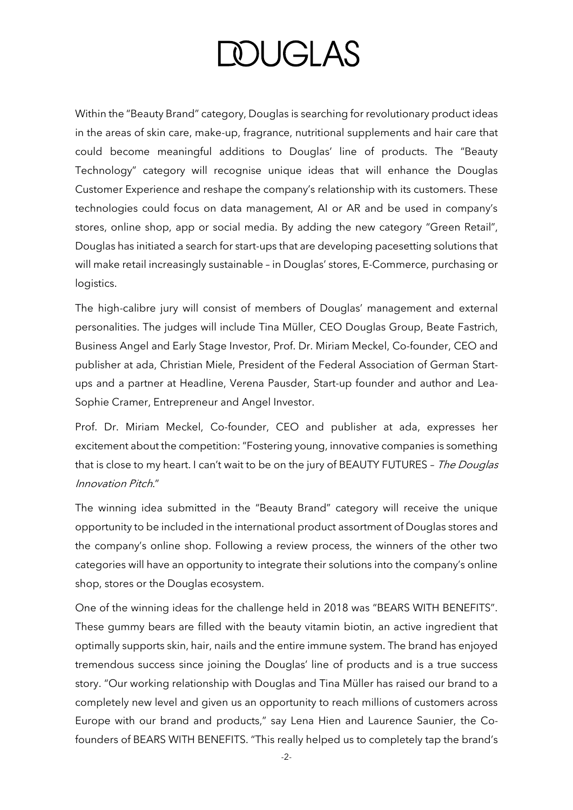### **DOUGLAS**

Within the "Beauty Brand" category, Douglas is searching for revolutionary product ideas in the areas of skin care, make-up, fragrance, nutritional supplements and hair care that could become meaningful additions to Douglas' line of products. The "Beauty Technology" category will recognise unique ideas that will enhance the Douglas Customer Experience and reshape the company's relationship with its customers. These technologies could focus on data management, AI or AR and be used in company's stores, online shop, app or social media. By adding the new category "Green Retail", Douglas has initiated a search for start-ups that are developing pacesetting solutions that will make retail increasingly sustainable – in Douglas' stores, E-Commerce, purchasing or logistics.

The high-calibre jury will consist of members of Douglas' management and external personalities. The judges will include Tina Müller, CEO Douglas Group, Beate Fastrich, Business Angel and Early Stage Investor, Prof. Dr. Miriam Meckel, Co-founder, CEO and publisher at ada, Christian Miele, President of the Federal Association of German Startups and a partner at Headline, Verena Pausder, Start-up founder and author and Lea-Sophie Cramer, Entrepreneur and Angel Investor.

Prof. Dr. Miriam Meckel, Co-founder, CEO and publisher at ada, expresses her excitement about the competition: "Fostering young, innovative companies is something that is close to my heart. I can't wait to be on the jury of BEAUTY FUTURES - The Douglas Innovation Pitch."

The winning idea submitted in the "Beauty Brand" category will receive the unique opportunity to be included in the international product assortment of Douglas stores and the company's online shop. Following a review process, the winners of the other two categories will have an opportunity to integrate their solutions into the company's online shop, stores or the Douglas ecosystem.

One of the winning ideas for the challenge held in 2018 was "BEARS WITH BENEFITS". These gummy bears are filled with the beauty vitamin biotin, an active ingredient that optimally supports skin, hair, nails and the entire immune system. The brand has enjoyed tremendous success since joining the Douglas' line of products and is a true success story. "Our working relationship with Douglas and Tina Müller has raised our brand to a completely new level and given us an opportunity to reach millions of customers across Europe with our brand and products," say Lena Hien and Laurence Saunier, the Cofounders of BEARS WITH BENEFITS. "This really helped us to completely tap the brand's